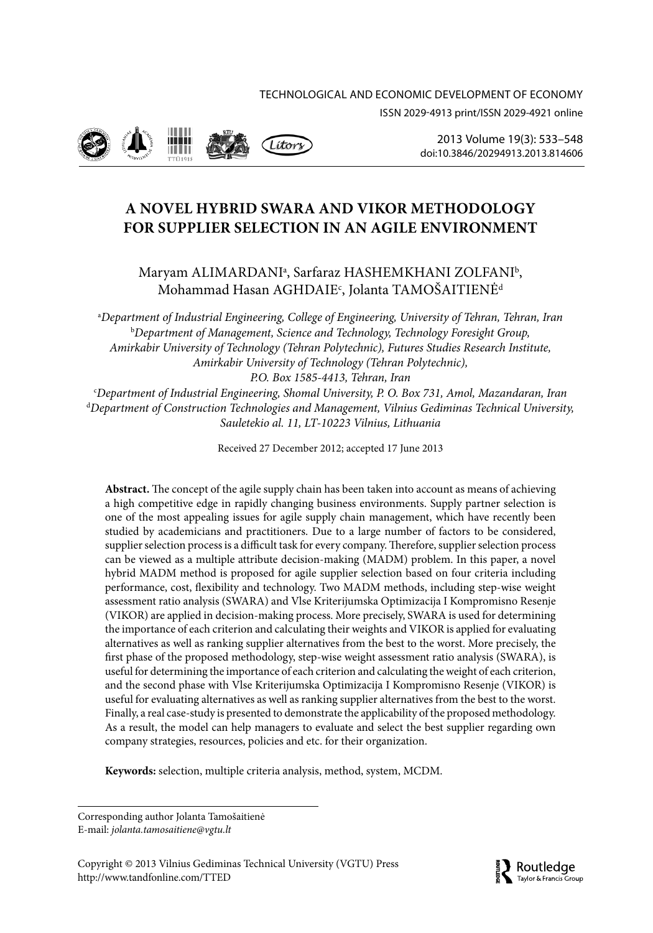## Technological and economic development OF ECONOMY

ISSN 2029-4913 print/ISSN 2029-4921 online



2013 Volume 19(3): 533–548 [doi:10.3846/20294913.2013.814606](http://dx.doi.org/10.3846/20294913.2013.814606)

# **A Novel Hybrid SWARA and VIKOR Methodology for Supplier Selection in an Agile Environment**

Maryam ALIMARDANIª, Sarfaraz HASHEMKHANI ZOLFANI<sup>b</sup>, Mohammad Hasan AGHDAIE $\lq$ , Jolanta TAMOŠAITIENĖ $\rm ^d$ 

a *Department of Industrial Engineering, College of Engineering, University of Tehran, Tehran, Iran* b *Department of Management, Science and Technology, Technology Foresight Group, Amirkabir University of Technology (Tehran Polytechnic), Futures Studies Research Institute, Amirkabir University of Technology (Tehran Polytechnic),*

*P.O. Box 1585-4413, Tehran, Iran*

c *Department of Industrial Engineering, Shomal University, P. O. Box 731, Amol, Mazandaran, Iran* d *Department of Construction Technologies and Management, Vilnius Gediminas Technical University, Sauletekio al. 11, LT-10223 Vilnius, Lithuania*

Received 27 December 2012; accepted 17 June 2013

**Abstract.** The concept of the agile supply chain has been taken into account as means of achieving a high competitive edge in rapidly changing business environments. Supply partner selection is one of the most appealing issues for agile supply chain management, which have recently been studied by academicians and practitioners. Due to a large number of factors to be considered, supplier selection process is a difficult task for every company. Therefore, supplier selection process can be viewed as a multiple attribute decision-making (MADM) problem. In this paper, a novel hybrid MADM method is proposed for agile supplier selection based on four criteria including performance, cost, flexibility and technology. Two MADM methods, including step-wise weight assessment ratio analysis (SWARA) and Vlse Kriterijumska Optimizacija I Kompromisno Resenje (VIKOR) are applied in decision-making process. More precisely, SWARA is used for determining the importance of each criterion and calculating their weights and VIKOR is applied for evaluating alternatives as well as ranking supplier alternatives from the best to the worst. More precisely, the first phase of the proposed methodology, step-wise weight assessment ratio analysis (SWARA), is useful for determining the importance of each criterion and calculating the weight of each criterion, and the second phase with Vlse Kriterijumska Optimizacija I Kompromisno Resenje (VIKOR) is useful for evaluating alternatives as well as ranking supplier alternatives from the best to the worst. Finally, a real case-study is presented to demonstrate the applicability of the proposed methodology. As a result, the model can help managers to evaluate and select the best supplier regarding own company strategies, resources, policies and etc. for their organization.

**Keywords:** selection, multiple criteria analysis, method, system, MCDM.

Corresponding author Jolanta Tamošaitienė E-mail: *jolanta.tamosaitiene@vgtu.lt*

Copyright © 2013 Vilnius Gediminas Technical University (VGTU) Press http://www.tandfonline.com/TTED

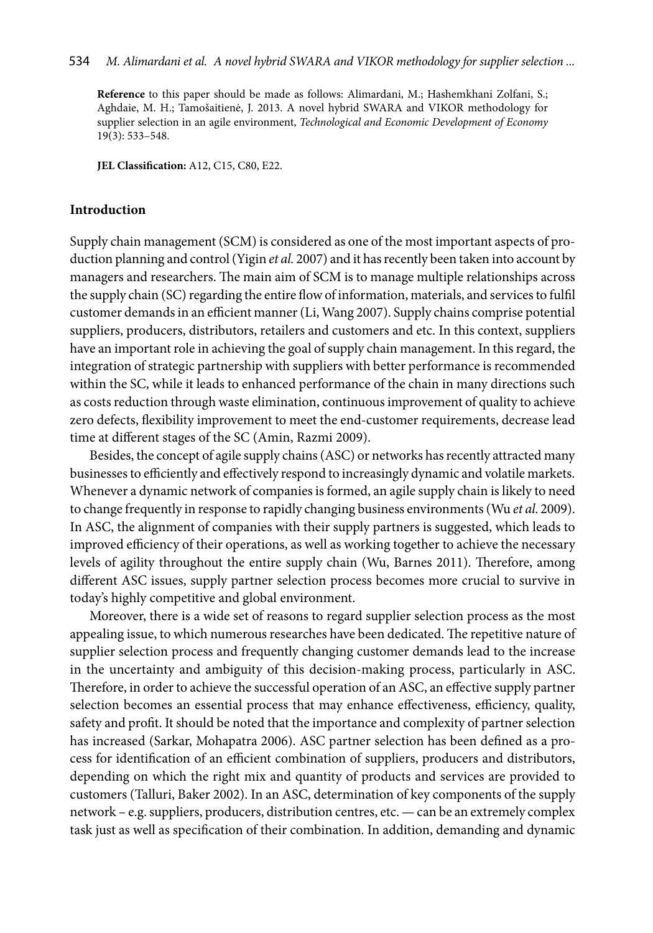**Reference** to this paper should be made as follows: Alimardani, M.; Hashemkhani Zolfani, S.; Aghdaie, M. H.; [Tamoš](http://sciencewatch.com/dr/nhp/2010/10jannhp/10jannhpZavaET/)aitienė, J. 2013. A novel hybrid SWARA and VIKOR methodology for supplier selection in an agile environment, *Technological and Economic Development of Economy*  19(3): 533–548.

**JEL Classification:** A12, C15, C80, E22.

#### **Introduction**

Supply chain management (SCM) is considered as one of the most important aspects of production planning and control (Yigin *et al.* 2007) and it has recently been taken into account by managers and researchers. The main aim of SCM is to manage multiple relationships across the supply chain (SC) regarding the entire flow of information, materials, and services to fulfil customer demands in an efficient manner (Li, Wang 2007). Supply chains comprise potential suppliers, producers, distributors, retailers and customers and etc. In this context, suppliers have an important role in achieving the goal of supply chain management. In this regard, the integration of strategic partnership with suppliers with better performance is recommended within the SC, while it leads to enhanced performance of the chain in many directions such as costs reduction through waste elimination, continuous improvement of quality to achieve zero defects, flexibility improvement to meet the end-customer requirements, decrease lead time at different stages of the SC (Amin, Razmi 2009).

Besides, the concept of agile supply chains (ASC) or networks has recently attracted many businesses to efficiently and effectively respond to increasingly dynamic and volatile markets. Whenever a dynamic network of companies is formed, an agile supply chain is likely to need to change frequently in response to rapidly changing business environments (Wu *et al*. 2009). In ASC, the alignment of companies with their supply partners is suggested, which leads to improved efficiency of their operations, as well as working together to achieve the necessary levels of agility throughout the entire supply chain (Wu, Barnes 2011). Therefore, among different ASC issues, supply partner selection process becomes more crucial to survive in today's highly competitive and global environment.

Moreover, there is a wide set of reasons to regard supplier selection process as the most appealing issue, to which numerous researches have been dedicated. The repetitive nature of supplier selection process and frequently changing customer demands lead to the increase in the uncertainty and ambiguity of this decision-making process, particularly in ASC. Therefore, in order to achieve the successful operation of an ASC, an effective supply partner selection becomes an essential process that may enhance effectiveness, efficiency, quality, safety and profit. It should be noted that the importance and complexity of partner selection has increased (Sarkar, Mohapatra 2006). ASC partner selection has been defined as a process for identification of an efficient combination of suppliers, producers and distributors, depending on which the right mix and quantity of products and services are provided to customers (Talluri, Baker 2002). In an ASC, determination of key components of the supply network – e.g. suppliers, producers, distribution centres, etc. — can be an extremely complex task just as well as specification of their combination. In addition, demanding and dynamic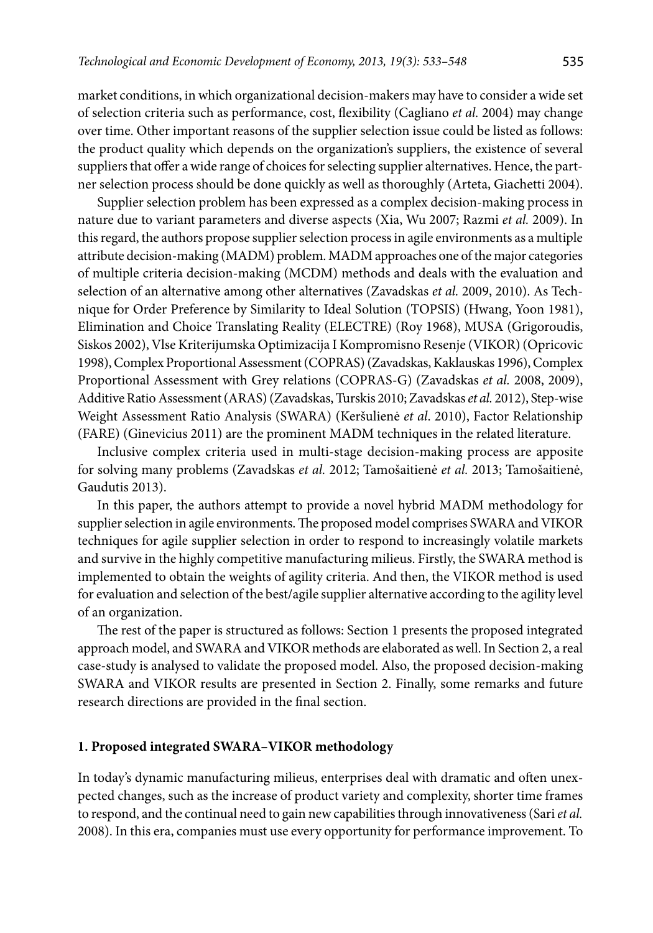market conditions, in which organizational decision-makers may have to consider a wide set of selection criteria such as performance, cost, flexibility (Cagliano *et al.* 2004) may change over time. Other important reasons of the supplier selection issue could be listed as follows: the product quality which depends on the organization's suppliers, the existence of several suppliers that offer a wide range of choices for selecting supplier alternatives. Hence, the partner selection process should be done quickly as well as thoroughly (Arteta, Giachetti 2004).

Supplier selection problem has been expressed as a complex decision-making process in nature due to variant parameters and diverse aspects (Xia, Wu 2007; Razmi *et al.* 2009). In this regard, the authors propose supplier selection process in agile environments as a multiple attribute decision-making (MADM) problem. MADM approaches one of the major categories of multiple criteria decision-making (MCDM) methods and deals with the evaluation and selection of an alternative among other alternatives (Zavadskas *et al.* 2009, 2010). As Technique for Order Preference by Similarity to Ideal Solution (TOPSIS) (Hwang, Yoon 1981), Elimination and Choice Translating Reality (ELECTRE) (Roy 1968), MUSA (Grigoroudis, Siskos 2002), Vlse Kriterijumska Optimizacija IKompromisno Resenje (VIKOR) (Opricovic 1998), Complex Proportional Assessment (COPRAS) (Zavadskas, Kaklauskas 1996), Complex Proportional Assessment with Grey relations (COPRAS-G) (Zavadskas *et al.* 2008, 2009), Additive Ratio Assessment (ARAS) (Zavadskas, Turskis 2010; Zavadskas *et al.* 2012), Step-wise Weight Assessment Ratio Analysis (SWARA) (Keršulienė *et al*. 2010), Factor Relationship (FARE) (Ginevicius 2011) are the prominent MADM techniques in the related literature.

Inclusive complex criteria used in multi-stage decision-making process are apposite for solving many problems (Zavadskas *et al.* 2012; Tamošaitienė *et al.* 2013; Tamošaitienė, Gaudutis 2013).

In this paper, the authors attempt to provide a novel hybrid MADM methodology for supplier selection in agile environments. The proposed model comprises SWARA and VIKOR techniques for agile supplier selection in order to respond to increasingly volatile markets and survive in the highly competitive manufacturing milieus. Firstly, the SWARA method is implemented to obtain the weights of agility criteria. And then, the VIKOR method is used for evaluation and selection of the best/agile supplier alternative according to the agility level of an organization.

The rest of the paper is structured as follows: Section 1 presents the proposed integrated approach model, and SWARA and VIKOR methods are elaborated as well. In Section 2, a real case-study is analysed to validate the proposed model. Also, the proposed decision-making SWARA and VIKOR results are presented in Section 2. Finally, some remarks and future research directions are provided in the final section.

### **1. Proposed integrated SWARA–VIKOR methodology**

In today's dynamic manufacturing milieus, enterprises deal with dramatic and often unexpected changes, such as the increase of product variety and complexity, shorter time frames to respond, and the continual need to gain new capabilities through innovativeness (Sari *et al.* 2008). In this era, companies must use every opportunity for performance improvement. To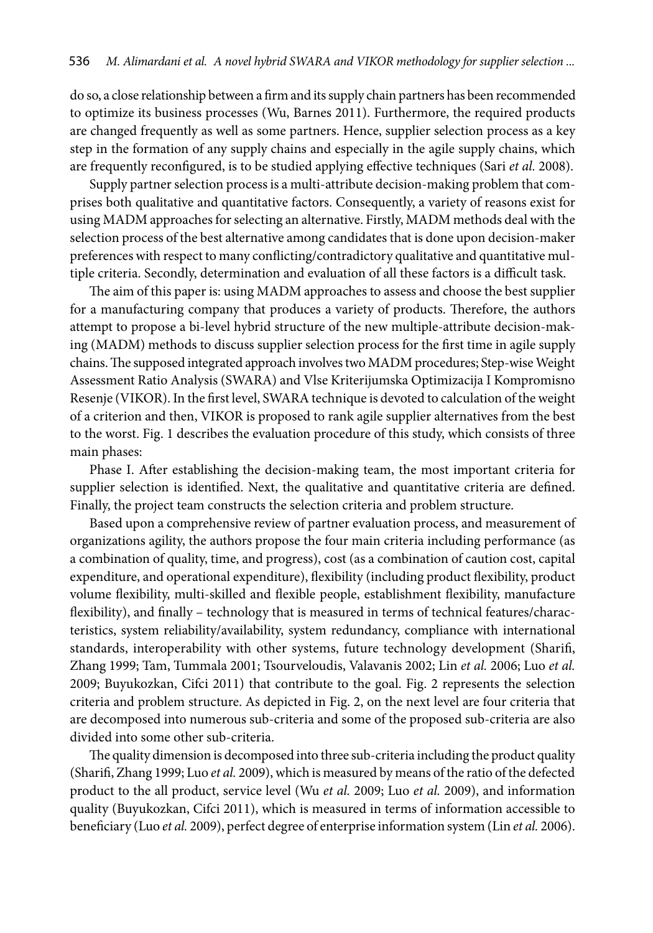do so, a close relationship between a firm and its supply chain partners has been recommended to optimize its business processes (Wu, Barnes 2011). Furthermore, the required products are changed frequently as well as some partners. Hence, supplier selection process as a key step in the formation of any supply chains and especially in the agile supply chains, which are frequently reconfigured, is to be studied applying effective techniques (Sari *et al.* 2008).

Supply partner selection process is a multi-attribute decision-making problem that comprises both qualitative and quantitative factors. Consequently, a variety of reasons exist for using MADM approaches for selecting an alternative. Firstly, MADM methods deal with the selection process of the best alternative among candidates that is done upon decision-maker preferences with respect to many conflicting/contradictory qualitative and quantitative multiple criteria. Secondly, determination and evaluation of all these factors is a difficult task.

The aim of this paper is: using MADM approaches to assess and choose the best supplier for a manufacturing company that produces a variety of products. Therefore, the authors attempt to propose a bi-level hybrid structure of the new multiple-attribute decision-making (MADM) methods to discuss supplier selection process for the first time in agile supply chains. The supposed integrated approach involves two MADM procedures; Step-wise Weight Assessment Ratio Analysis (SWARA) and Vlse Kriterijumska Optimizacija I Kompromisno Resenje (VIKOR). In the first level, SWARA technique is devoted to calculation of the weight of a criterion and then, VIKOR is proposed to rank agile supplier alternatives from the best to the worst. Fig. 1 describes the evaluation procedure of this study, which consists of three main phases:

Phase I. After establishing the decision-making team, the most important criteria for supplier selection is identified. Next, the qualitative and quantitative criteria are defined. Finally, the project team constructs the selection criteria and problem structure.

Based upon a comprehensive review of partner evaluation process, and measurement of organizations agility, the authors propose the four main criteria including performance (as a combination of quality, time, and progress), cost (as a combination of caution cost, capital expenditure, and operational expenditure), flexibility (including product flexibility, product volume flexibility, multi-skilled and flexible people, establishment flexibility, manufacture flexibility), and finally – technology that is measured in terms of technical features/characteristics, system reliability/availability, system redundancy, compliance with international standards, interoperability with other systems, future technology development (Sharifi, Zhang 1999; Tam, Tummala 2001; Tsourveloudis, Valavanis 2002; Lin *et al.* 2006; Luo *et al.* 2009; Buyukozkan, Cifci 2011) that contribute to the goal. Fig. 2 represents the selection criteria and problem structure. As depicted in Fig. 2, on the next level are four criteria that are decomposed into numerous sub-criteria and some of the proposed sub-criteria are also divided into some other sub-criteria.

The quality dimension is decomposed into three sub-criteria including the product quality (Sharifi, Zhang 1999; Luo *et al.* 2009), which is measured by means of the ratio of the defected product to the all product, service level (Wu *et al.* 2009; Luo *et al.* 2009), and information quality (Buyukozkan, Cifci 2011), which is measured in terms of information accessible to beneficiary (Luo *et al.* 2009), perfect degree of enterprise information system (Lin *et al.* 2006).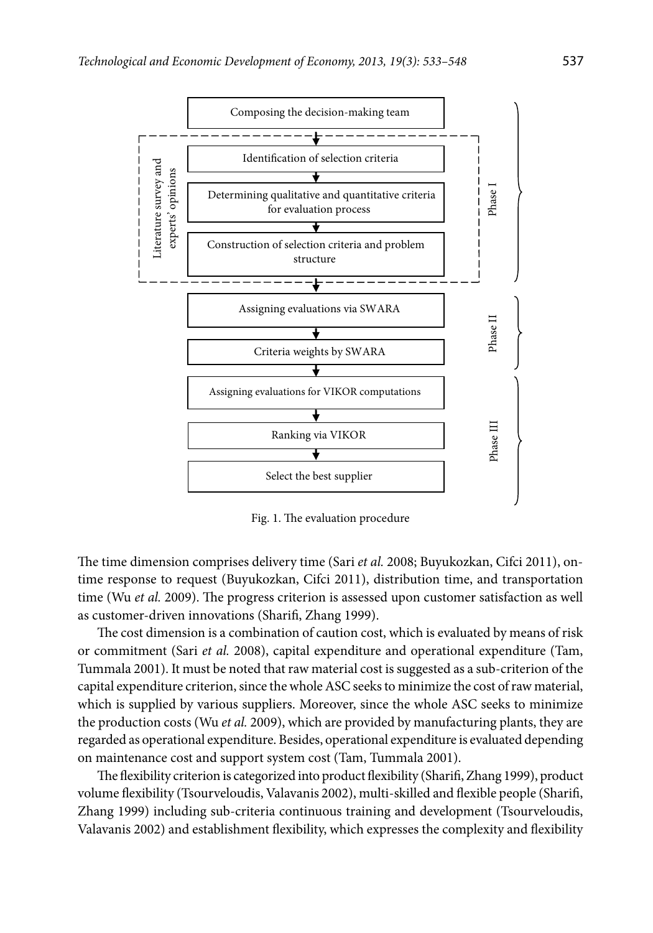

Fig. 1. The evaluation procedure

The time dimension comprises delivery time (Sari *et al.* 2008; Buyukozkan, Cifci 2011), ontime response to request (Buyukozkan, Cifci 2011), distribution time, and transportation time (Wu *et al.* 2009). The progress criterion is assessed upon customer satisfaction as well as customer-driven innovations (Sharifi, Zhang 1999).

The cost dimension is a combination of caution cost, which is evaluated by means of risk or commitment (Sari *et al.* 2008), capital expenditure and operational expenditure (Tam, Tummala 2001). It must be noted that raw material cost is suggested as a sub-criterion of the capital expenditure criterion, since the whole ASC seeks to minimize the cost of raw material, which is supplied by various suppliers. Moreover, since the whole ASC seeks to minimize the production costs (Wu *et al.* 2009), which are provided by manufacturing plants, they are regarded as operational expenditure. Besides, operational expenditure is evaluated depending on maintenance cost and support system cost (Tam, Tummala 2001).

The flexibility criterion is categorized into product flexibility (Sharifi, Zhang 1999), product volume flexibility (Tsourveloudis, Valavanis 2002), multi-skilled and flexible people (Sharifi, Zhang 1999) including sub-criteria continuous training and development (Tsourveloudis, Valavanis 2002) and establishment flexibility, which expresses the complexity and flexibility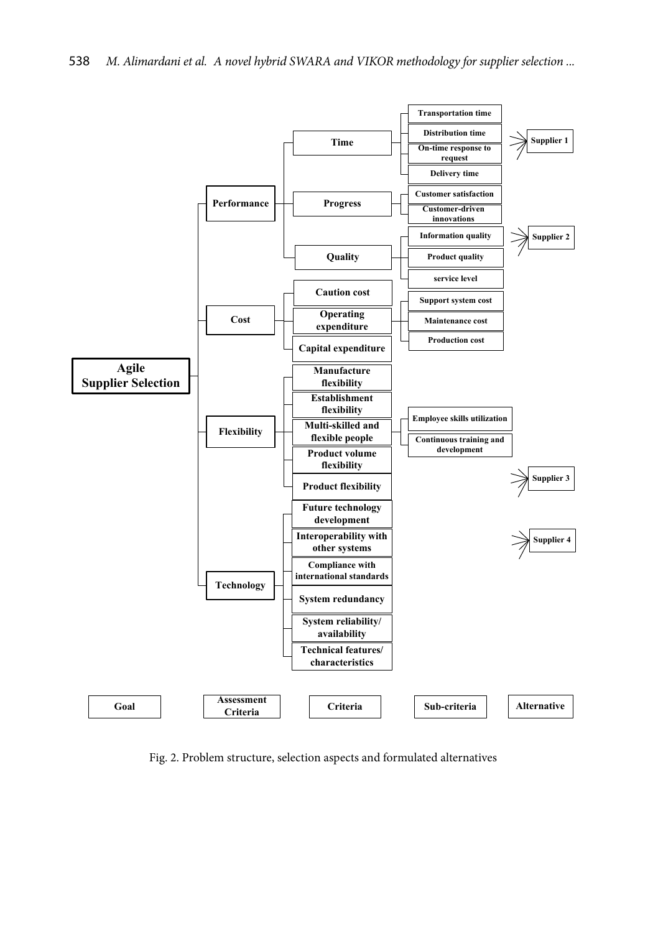

Fig. 2. Problem structure, selection aspects and formulated alternatives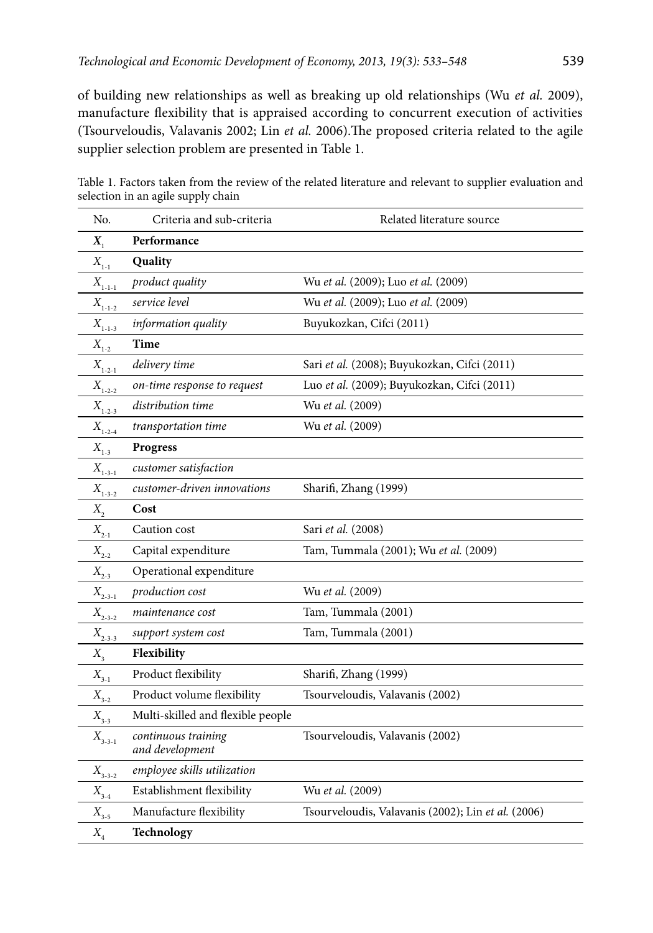of building new relationships as well as breaking up old relationships (Wu *et al.* 2009), manufacture flexibility that is appraised according to concurrent execution of activities (Tsourveloudis, Valavanis 2002; Lin *et al.* 2006).The proposed criteria related to the agile supplier selection problem are presented in Table 1.

| No.                                                       | Criteria and sub-criteria<br>Related literature source |                                                    |  |  |  |  |
|-----------------------------------------------------------|--------------------------------------------------------|----------------------------------------------------|--|--|--|--|
| $\boldsymbol{X}_{1}$                                      | Performance                                            |                                                    |  |  |  |  |
| $X_{1-1}$                                                 | Quality                                                |                                                    |  |  |  |  |
| $X_{1-1-1}$                                               | product quality                                        | Wu et al. (2009); Luo et al. (2009)                |  |  |  |  |
| $X_{1-1-2}$                                               | service level                                          | Wu et al. (2009); Luo et al. (2009)                |  |  |  |  |
| $X_{\scriptscriptstyle 1\text{-}1\text{-}3}$              | information quality                                    | Buyukozkan, Cifci (2011)                           |  |  |  |  |
| $X_{\scriptscriptstyle 1\text{-}2}$                       | Time                                                   |                                                    |  |  |  |  |
| $X_{1-2-1}$                                               | delivery time                                          | Sari et al. (2008); Buyukozkan, Cifci (2011)       |  |  |  |  |
| $X_{1-2-2}$                                               | on-time response to request                            | Luo et al. (2009); Buyukozkan, Cifci (2011)        |  |  |  |  |
| $X_{1-2-3}$                                               | distribution time                                      | Wu et al. (2009)                                   |  |  |  |  |
| $X_{\scriptscriptstyle 1\text{-}2\text{-}4}$              | transportation time                                    | Wu et al. (2009)                                   |  |  |  |  |
| $X_{1.3}$                                                 | <b>Progress</b>                                        |                                                    |  |  |  |  |
| $X_{\scriptscriptstyle 1\text{-}3\text{-} \underline{1}}$ | customer satisfaction                                  |                                                    |  |  |  |  |
| $X_{1-3-2}$                                               | customer-driven innovations                            | Sharifi, Zhang (1999)                              |  |  |  |  |
| $X_{2}$                                                   | Cost                                                   |                                                    |  |  |  |  |
| $X_{2-1}$                                                 | Caution cost                                           | Sari et al. (2008)                                 |  |  |  |  |
| $X_{2-2}$                                                 | Capital expenditure                                    | Tam, Tummala (2001); Wu et al. (2009)              |  |  |  |  |
| $X_{\scriptscriptstyle 2\text{-}3}$                       | Operational expenditure                                |                                                    |  |  |  |  |
| $X_{2 \tcdot 3-1}$                                        | production cost                                        | Wu et al. (2009)                                   |  |  |  |  |
| $X_{2-3-2}$                                               | maintenance cost                                       | Tam, Tummala (2001)                                |  |  |  |  |
| $X_{2-3-3}$                                               | support system cost                                    | Tam, Tummala (2001)                                |  |  |  |  |
| $X_{\mathfrak{p}}$                                        | Flexibility                                            |                                                    |  |  |  |  |
| $X_{3-1}$                                                 | Product flexibility                                    | Sharifi, Zhang (1999)                              |  |  |  |  |
| $X_{3-2}$                                                 | Product volume flexibility                             | Tsourveloudis, Valavanis (2002)                    |  |  |  |  |
| $X_{3-3}$                                                 | Multi-skilled and flexible people                      |                                                    |  |  |  |  |
| $X_{3-3-1}$                                               | continuous training<br>and development                 | Tsourveloudis, Valavanis (2002)                    |  |  |  |  |
| $X_{3 \cdot 3 \cdot 2}$                                   | employee skills utilization                            |                                                    |  |  |  |  |
| $X_{3-4}$                                                 | Establishment flexibility                              | Wu et al. (2009)                                   |  |  |  |  |
| $X_{3-5}$                                                 | Manufacture flexibility                                | Tsourveloudis, Valavanis (2002); Lin et al. (2006) |  |  |  |  |
| $X_{4}$                                                   | Technology                                             |                                                    |  |  |  |  |

Table 1. Factors taken from the review of the related literature and relevant to supplier evaluation and selection in an agile supply chain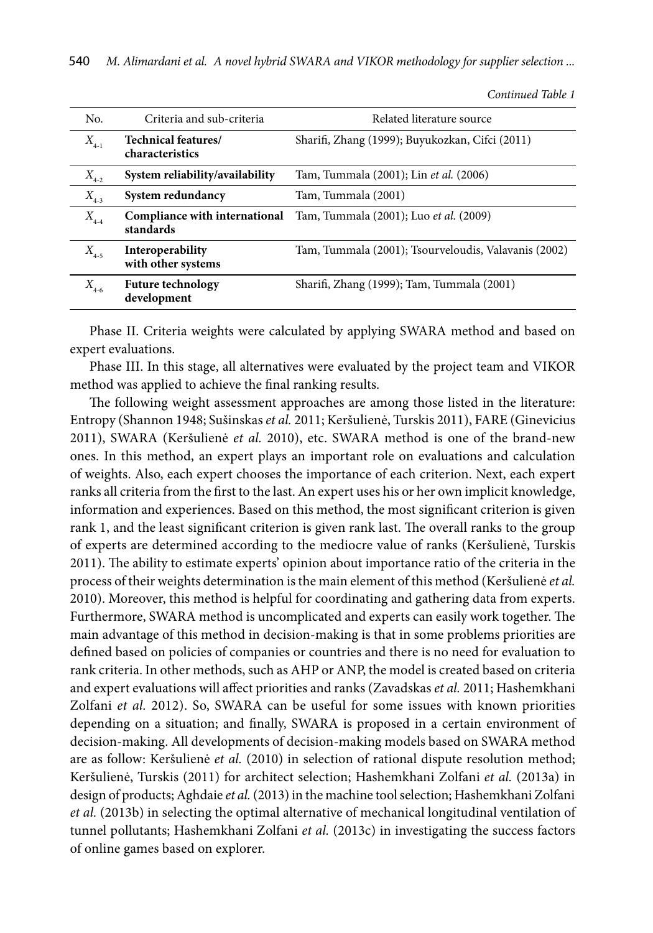*Continued Table 1*

| No.       | Criteria and sub-criteria                  | Related literature source                            |  |  |  |  |
|-----------|--------------------------------------------|------------------------------------------------------|--|--|--|--|
| $X_{4-1}$ | Technical features/<br>characteristics     | Sharifi, Zhang (1999); Buyukozkan, Cifci (2011)      |  |  |  |  |
| $X_{4-2}$ | System reliability/availability            | Tam, Tummala (2001); Lin et al. (2006)               |  |  |  |  |
| $X_{4-3}$ | System redundancy                          | Tam, Tummala (2001)                                  |  |  |  |  |
| $X_{4-4}$ | Compliance with international<br>standards | Tam, Tummala (2001); Luo et al. (2009)               |  |  |  |  |
| $X_{4-5}$ | Interoperability<br>with other systems     | Tam, Tummala (2001); Tsourveloudis, Valavanis (2002) |  |  |  |  |
| $X_{4-6}$ | <b>Future technology</b><br>development    | Sharifi, Zhang (1999); Tam, Tummala (2001)           |  |  |  |  |

Phase II. Criteria weights were calculated by applying SWARA method and based on expert evaluations.

Phase III. In this stage, all alternatives were evaluated by the project team and VIKOR method was applied to achieve the final ranking results.

The following weight assessment approaches are among those listed in the literature: Entropy (Shannon 1948; Sušinskas *et al.* 2011; Keršulienė, Turskis 2011), FARE (Ginevicius 2011), SWARA (Keršulienė *et al.* 2010), etc. SWARA method is one of the brand-new ones. In this method, an expert plays an important role on evaluations and calculation of weights. Also, each expert chooses the importance of each criterion. Next, each expert ranks all criteria from the first to the last. An expert uses his or her own implicit knowledge, information and experiences. Based on this method, the most significant criterion is given rank 1, and the least significant criterion is given rank last. The overall ranks to the group of experts are determined according to the mediocre value of ranks (Keršulienė, Turskis 2011). The ability to estimate experts' opinion about importance ratio of the criteria in the process of their weights determination is the main element of this method (Keršulienė *et al.* 2010). Moreover, this method is helpful for coordinating and gathering data from experts. Furthermore, SWARA method is uncomplicated and experts can easily work together. The main advantage of this method in decision-making is that in some problems priorities are defined based on policies of companies or countries and there is no need for evaluation to rank criteria. In other methods, such as AHP or ANP, the model is created based on criteria and expert evaluations will affect priorities and ranks (Zavadskas *et al.* 2011; Hashemkhani Zolfani *et al.* 2012). So, SWARA can be useful for some issues with known priorities depending on a situation; and finally, SWARA is proposed in a certain environment of decision-making. All developments of decision-making models based on SWARA method are as follow: Keršulienė *et al.* (2010) in selection of rational dispute resolution method; Keršulienė, Turskis (2011) for architect selection; Hashemkhani Zolfani *et al.* (2013a) in design of products; Aghdaie *et al.* (2013) in the machine tool selection; Hashemkhani Zolfani *et al.* (2013b) in selecting the optimal alternative of mechanical longitudinal ventilation of tunnel pollutants; Hashemkhani Zolfani *et al.* (2013c) in investigating the success factors of online games based on explorer.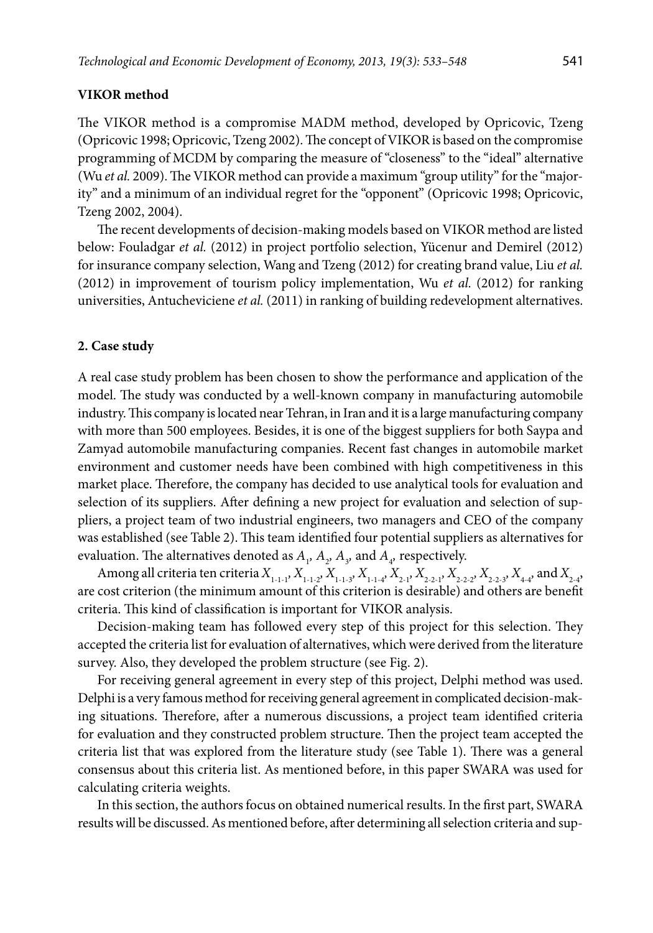#### **VIKOR method**

The VIKOR method is a compromise MADM method, developed by Opricovic, Tzeng (Opricovic 1998; Opricovic, Tzeng 2002). The concept of VIKOR is based on the compromise programming of MCDM by comparing the measure of "closeness" to the "ideal" alternative (Wu *et al.* 2009). The VIKOR method can provide a maximum "group utility" for the "majority" and a minimum of an individual regret for the "opponent" (Opricovic 1998; Opricovic, Tzeng 2002, 2004).

The recent developments of decision-making models based on VIKOR method are listed below: Fouladgar *et al.* (2012) in project portfolio selection, Yücenur and Demirel (2012) for insurance company selection, Wang and Tzeng (2012) for creating brand value, Liu *et al.* (2012) in improvement of tourism policy implementation, Wu *et al.* (2012) for ranking universities, Antucheviciene *et al.* (2011) in ranking of building redevelopment alternatives.

#### **2. Case study**

A real case study problem has been chosen to show the performance and application of the model. The study was conducted by a well-known company in manufacturing automobile industry. This company is located near Tehran, in Iran and it is a large manufacturing company with more than 500 employees. Besides, it is one of the biggest suppliers for both Saypa and Zamyad automobile manufacturing companies. Recent fast changes in automobile market environment and customer needs have been combined with high competitiveness in this market place. Therefore, the company has decided to use analytical tools for evaluation and selection of its suppliers. After defining a new project for evaluation and selection of suppliers, a project team of two industrial engineers, two managers and CEO of the company was established (see Table 2). This team identified four potential suppliers as alternatives for evaluation. The alternatives denoted as  $A_1$ ,  $A_2$ ,  $A_3$ , and  $A_4$ , respectively.

Among all criteria ten criteria  $X_{1-1-1}$ ,  $X_{1-1-2}$ ,  $X_{1-1-3}$ ,  $X_{1-1-4}$ ,  $X_{2-1}$ ,  $X_{2-2-1}$ ,  $X_{2-2-2}$ ,  $X_{2-2-3}$ ,  $X_{4-4}$ , and  $X_{2-4}$ , are cost criterion (the minimum amount of this criterion is desirable) and others are benefit criteria. This kind of classification is important for VIKOR analysis.

Decision-making team has followed every step of this project for this selection. They accepted the criteria list for evaluation of alternatives, which were derived from the literature survey. Also, they developed the problem structure (see Fig. 2).

For receiving general agreement in every step of this project, Delphi method was used. Delphi is a very famous method for receiving general agreement in complicated decision-making situations. Therefore, after a numerous discussions, a project team identified criteria for evaluation and they constructed problem structure. Then the project team accepted the criteria list that was explored from the literature study (see Table 1). There was a general consensus about this criteria list. As mentioned before, in this paper SWARA was used for calculating criteria weights.

In this section, the authors focus on obtained numerical results. In the first part, SWARA results will be discussed. As mentioned before, after determining all selection criteria and sup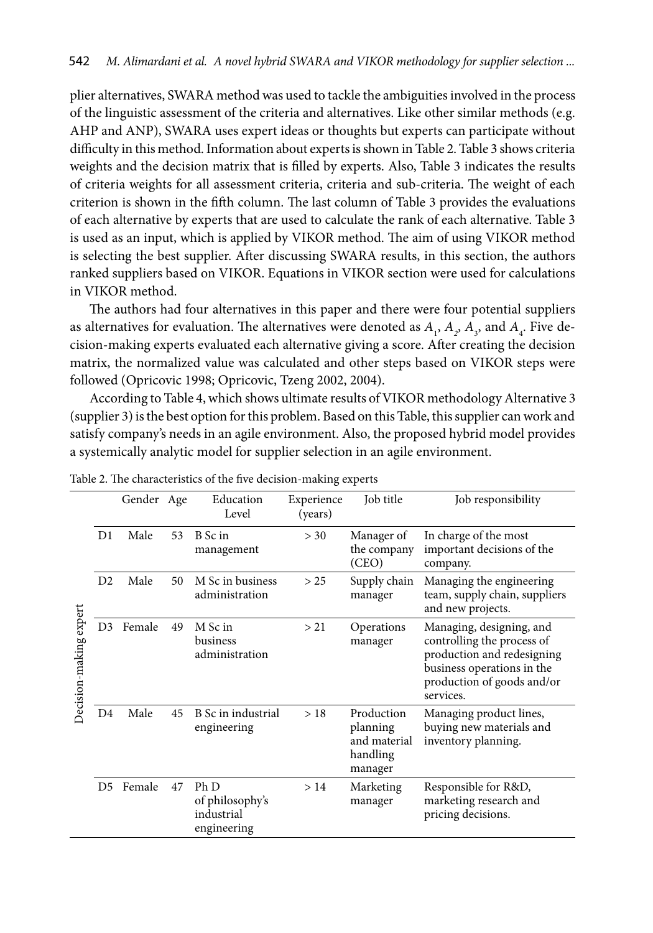plier alternatives, SWARA method was used to tackle the ambiguities involved in the process of the linguistic assessment of the criteria and alternatives. Like other similar methods (e.g. AHP and ANP), SWARA uses expert ideas or thoughts but experts can participate without difficulty in this method. Information about experts is shown in Table 2. Table 3 shows criteria weights and the decision matrix that is filled by experts. Also, Table 3 indicates the results of criteria weights for all assessment criteria, criteria and sub-criteria. The weight of each criterion is shown in the fifth column. The last column of Table 3 provides the evaluations of each alternative by experts that are used to calculate the rank of each alternative. Table 3 is used as an input, which is applied by VIKOR method. The aim of using VIKOR method is selecting the best supplier. After discussing SWARA results, in this section, the authors ranked suppliers based on VIKOR. Equations in VIKOR section were used for calculations in VIKOR method.

The authors had four alternatives in this paper and there were four potential suppliers as alternatives for evaluation. The alternatives were denoted as  $A_1$ ,  $A_2$ ,  $A_3$ , and  $A_4$ . Five decision-making experts evaluated each alternative giving a score. After creating the decision matrix, the normalized value was calculated and other steps based on VIKOR steps were followed (Opricovic 1998; Opricovic, Tzeng 2002, 2004).

According to Table 4, which shows ultimate results of VIKOR methodology Alternative 3 (supplier 3) is the best option for this problem. Based on this Table, this supplier can work and satisfy company's needs in an agile environment. Also, the proposed hybrid model provides a systemically analytic model for supplier selection in an agile environment.

|                        |                | Gender Age |    | Education<br>Level                                              | Experience<br>(years) | Job title                                                     | Job responsibility                                                                                                                                            |
|------------------------|----------------|------------|----|-----------------------------------------------------------------|-----------------------|---------------------------------------------------------------|---------------------------------------------------------------------------------------------------------------------------------------------------------------|
|                        | D <sub>1</sub> | Male       | 53 | B Sc in<br>management                                           | > 30                  | Manager of<br>the company<br>(CEO)                            | In charge of the most<br>important decisions of the<br>company.                                                                                               |
|                        | D2             | Male       | 50 | M Sc in business<br>administration                              | > 25                  | Supply chain<br>manager                                       | Managing the engineering<br>team, supply chain, suppliers<br>and new projects.                                                                                |
| Decision-making expert | D <sub>3</sub> | Female     | 49 | M Sc in<br>business<br>administration                           | >21                   | Operations<br>manager                                         | Managing, designing, and<br>controlling the process of<br>production and redesigning<br>business operations in the<br>production of goods and/or<br>services. |
|                        | D <sub>4</sub> | Male       | 45 | B Sc in industrial<br>engineering                               | >18                   | Production<br>planning<br>and material<br>handling<br>manager | Managing product lines,<br>buying new materials and<br>inventory planning.                                                                                    |
|                        | D <sub>5</sub> | Female     | 47 | Ph <sub>D</sub><br>of philosophy's<br>industrial<br>engineering | >14                   | Marketing<br>manager                                          | Responsible for R&D,<br>marketing research and<br>pricing decisions.                                                                                          |

Table 2. The characteristics of the five decision-making experts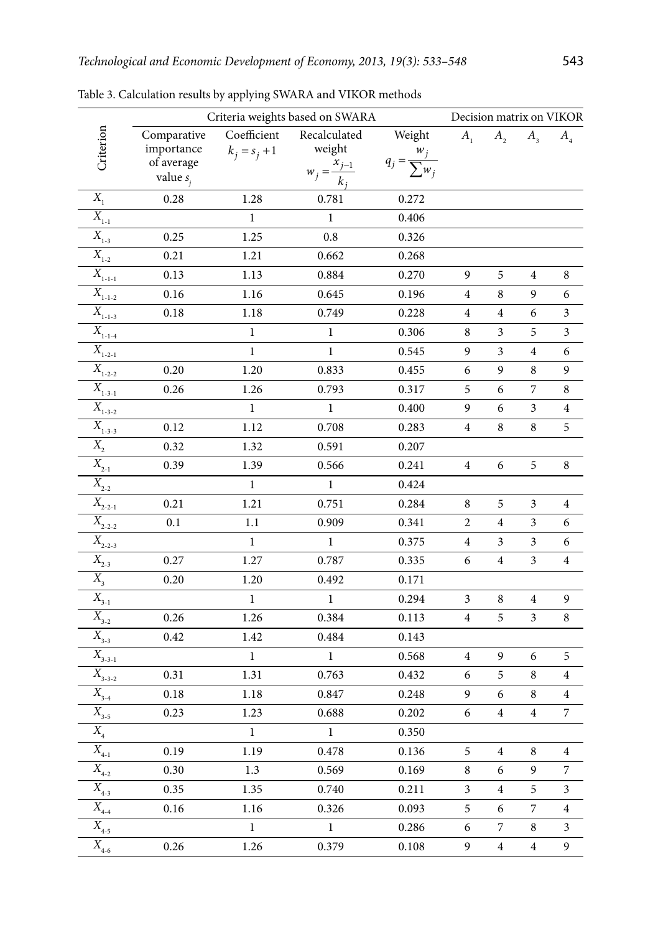|                                                                                 |                           |                 | Criteria weights based on SWARA |        |                | Decision matrix on VIKOR    |                          |                         |
|---------------------------------------------------------------------------------|---------------------------|-----------------|---------------------------------|--------|----------------|-----------------------------|--------------------------|-------------------------|
| Criterion                                                                       | Comparative               | Coefficient     | Recalculated                    | Weight | $A_{1}$        | $A_{2}$                     | $A_{3}$                  | $A_{4}$                 |
|                                                                                 | importance                | $k_i = s_i + 1$ | weight                          |        |                |                             |                          |                         |
|                                                                                 | of average<br>value $s_i$ |                 | $w_j = \frac{x_{j-1}}{x_{j}}$   | $q_i$  |                |                             |                          |                         |
|                                                                                 |                           |                 |                                 |        |                |                             |                          |                         |
| $X_{\scriptscriptstyle 1}$                                                      | 0.28                      | 1.28            | 0.781                           | 0.272  |                |                             |                          |                         |
| $\overline{X_{1-1}}$                                                            |                           | $\mathbf{1}$    | $\,1$                           | 0.406  |                |                             |                          |                         |
| $\overline{X_{1\text{-}3}}$                                                     | 0.25                      | 1.25            | $0.8\,$                         | 0.326  |                |                             |                          |                         |
| $\overline{X_{1\text{-}2}}$                                                     | 0.21                      | 1.21            | 0.662                           | 0.268  |                |                             |                          |                         |
| $\overline{X_{\scriptscriptstyle 1\text{-}1\text{-}1}}$                         | 0.13                      | 1.13            | 0.884                           | 0.270  | 9              | 5                           | $\overline{4}$           | 8                       |
| $\overline{X}_{\hspace{-1.5pt}1\text{-}1\text{-}2}$                             | 0.16                      | 1.16            | 0.645                           | 0.196  | $\overline{4}$ | 8                           | 9                        | 6                       |
| $\overline{X_{_{1\text{-}1\text{-}3}}}$                                         | 0.18                      | 1.18            | 0.749                           | 0.228  | $\bf 4$        | $\bf 4$                     | 6                        | $\mathfrak{z}$          |
| $\overline{X}_{\hspace{-1.5pt}1\text{-}1\text{-}4}$                             |                           | $\mathbf{1}$    | $\,1$                           | 0.306  | 8              | 3                           | 5                        | 3                       |
| $\overline{X}_{\underline{1\text{-}2\text{-}1}}$                                |                           | $\,1$           | $\,1\,$                         | 0.545  | 9              | $\mathfrak{Z}$              | $\overline{4}$           | 6                       |
| $\overline{X}_{\underline{1\text{-}2\text{-}2}}$                                | 0.20                      | 1.20            | 0.833                           | 0.455  | 6              | 9                           | 8                        | 9                       |
| $\overline{X}_{\hspace{-1pt}\text{\tiny{1-3-1}}}\hspace{-1pt}$                  | 0.26                      | 1.26            | 0.793                           | 0.317  | 5              | 6                           | 7                        | $\,$ 8 $\,$             |
| $\overline{X}_{\hspace{-3pt}\text{\tiny{1-3-2}}}\hspace{-3pt}$                  |                           | $\,1$           | $\,1$                           | 0.400  | 9              | 6                           | 3                        | $\overline{\mathbf{4}}$ |
| $\overline{X_{1\text{-}3\text{-}3}}$                                            | 0.12                      | 1.12            | 0.708                           | 0.283  | $\bf 4$        | $\,$ 8 $\,$                 | 8                        | $\mathfrak s$           |
| $X_{2}$                                                                         | 0.32                      | 1.32            | 0.591                           | 0.207  |                |                             |                          |                         |
| $\overline{X_{_{2\text{-}1}}}$                                                  | 0.39                      | 1.39            | 0.566                           | 0.241  | $\bf 4$        | 6                           | 5                        | 8                       |
| $\overline{X_{2\text{-}2}}$                                                     |                           | $\,1\,$         | $\,1\,$                         | 0.424  |                |                             |                          |                         |
| $\overline{X}_{\hspace{-3pt}\text{\it 2-1}}$                                    | 0.21                      | 1.21            | 0.751                           | 0.284  | 8              | 5                           | $\mathfrak z$            | $\bf{4}$                |
| $\overline{X}_{\hspace{-7pt}\begin{matrix} 2\cdot 2\cdot 2 \end{matrix}}$       | $0.1\,$                   | 1.1             | 0.909                           | 0.341  | $\sqrt{2}$     | $\bf 4$                     | $\mathfrak{Z}$           | 6                       |
| $\overline{X_{_{2\text{-}2\text{-}3}}}$                                         |                           | $\,1\,$         | $\,1$                           | 0.375  | $\bf 4$        | $\ensuremath{\mathfrak{Z}}$ | $\mathfrak{Z}$           | 6                       |
| $\overline{X_{2-3}}$                                                            | 0.27                      | 1.27            | 0.787                           | 0.335  | $\epsilon$     | $\bf 4$                     | $\overline{\mathbf{3}}$  | $\bf 4$                 |
| $\overline{X_{3}}$                                                              | 0.20                      | 1.20            | 0.492                           | 0.171  |                |                             |                          |                         |
| $\overline{X_{3-1}}$                                                            |                           | $\mathbf{1}$    | $\,1$                           | 0.294  | 3              | $\,8\,$                     | $\overline{4}$           | 9                       |
| $\overline{X_{3-2}}$                                                            | 0.26                      | 1.26            | 0.384                           | 0.113  | $\bf 4$        | 5                           | $\mathfrak{Z}$           | 8                       |
| $\overline{X}_{3\text{-}3}$                                                     | 0.42                      | 1.42            | 0.484                           | 0.143  |                |                             |                          |                         |
| $\overline{X}_{\!\scriptscriptstyle 3\text{-}3\text{-}1\!\scriptscriptstyle 1}$ |                           | $\,1$           | $\,1$                           | 0.568  | $\bf 4$        | 9                           | 6                        | 5                       |
| $\overline{X}_{3\text{-}3\text{-}2}$                                            | $0.31\,$                  | 1.31            | 0.763                           | 0.432  | $\epsilon$     | 5                           | $\,8\,$                  | $\overline{\mathbf{4}}$ |
| $X_{3-4}$                                                                       | 0.18                      | 1.18            | 0.847                           | 0.248  | 9              | 6                           | 8                        | $\overline{\mathbf{4}}$ |
| $X_{3.5}$                                                                       | 0.23                      | 1.23            | 0.688                           | 0.202  | $\epsilon$     | $\bf 4$                     | $\overline{\mathbf{4}}$  | 7                       |
| $X_{\scriptscriptstyle 4}$                                                      |                           | $\mathbf 1$     | $\mathbf{1}$                    | 0.350  |                |                             |                          |                         |
| $X_{\scriptscriptstyle 4\text{-}1}$                                             | 0.19                      | 1.19            | 0.478                           | 0.136  | 5              | 4                           | 8                        | 4                       |
| $X_{\scriptscriptstyle 4\text{-}2}$                                             | 0.30                      | 1.3             | 0.569                           | 0.169  | 8              | 6                           | 9                        | 7                       |
| $\overline{X}_{4-3}$                                                            | 0.35                      | 1.35            | 0.740                           | 0.211  | 3              | 4                           | 5                        | 3                       |
| $X_{\scriptscriptstyle 4\text{-}4}$                                             | 0.16                      | 1.16            | 0.326                           | 0.093  | 5              | 6                           | $\overline{\phantom{a}}$ | 4                       |
| $X_{\scriptscriptstyle 4\text{-}5}$                                             |                           | $1\,$           | $\,1$                           | 0.286  | 6              | 7                           | 8                        | 3                       |
| $X_{\scriptscriptstyle 4\text{-}6}$                                             | 0.26                      | 1.26            | 0.379                           | 0.108  | 9              | $\overline{4}$              | $\overline{4}$           | 9                       |
|                                                                                 |                           |                 |                                 |        |                |                             |                          |                         |

Table 3. Calculation results by applying SWARA and VIKOR methods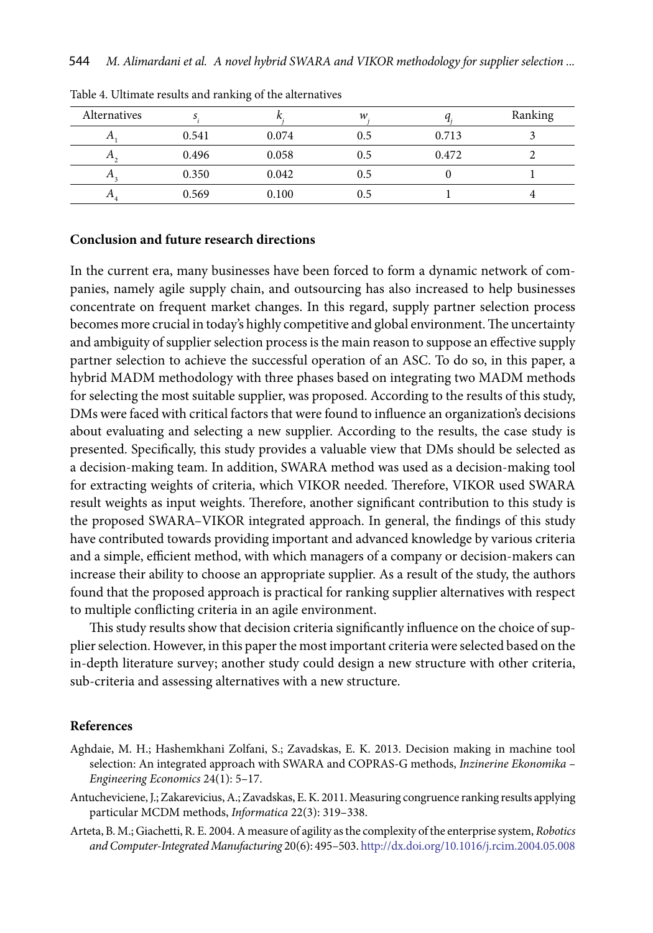| Alternatives    |       |       | $\boldsymbol{w}$ |       | Ranking |
|-----------------|-------|-------|------------------|-------|---------|
| $\Lambda$       | 0.541 | 0.074 | 0.5              | 0.713 |         |
| л.              | 0.496 | 0.058 | 0.5              | 0.472 |         |
| 4L <sub>2</sub> | 0.350 | 0.042 | 0.5              |       |         |
| л               | 0.569 | 0.100 | 0.5              |       |         |

Table 4. Ultimate results and ranking of the alternatives

#### **Conclusion and future research directions**

In the current era, many businesses have been forced to form a dynamic network of companies, namely agile supply chain, and outsourcing has also increased to help businesses concentrate on frequent market changes. In this regard, supply partner selection process becomes more crucial in today's highly competitive and global environment. The uncertainty and ambiguity of supplier selection process is the main reason to suppose an effective supply partner selection to achieve the successful operation of an ASC. To do so, in this paper, a hybrid MADM methodology with three phases based on integrating two MADM methods for selecting the most suitable supplier, was proposed. According to the results of this study, DMs were faced with critical factors that were found to influence an organization's decisions about evaluating and selecting a new supplier. According to the results, the case study is presented. Specifically, this study provides a valuable view that DMs should be selected as a decision-making team. In addition, SWARA method was used as a decision-making tool for extracting weights of criteria, which VIKOR needed. Therefore, VIKOR used SWARA result weights as input weights. Therefore, another significant contribution to this study is the proposed SWARA–VIKOR integrated approach. In general, the findings of this study have contributed towards providing important and advanced knowledge by various criteria and a simple, efficient method, with which managers of a company or decision-makers can increase their ability to choose an appropriate supplier. As a result of the study, the authors found that the proposed approach is practical for ranking supplier alternatives with respect to multiple conflicting criteria in an agile environment.

This study results show that decision criteria significantly influence on the choice of supplier selection. However, in this paper the most important criteria were selected based on the in-depth literature survey; another study could design a new structure with other criteria, sub-criteria and assessing alternatives with a new structure.

### **References**

- Aghdaie, M. H.; Hashemkhani Zolfani, S.; Zavadskas, E. K. 2013. Decision making in machine tool selection: An integrated approach with SWARA and COPRAS-G methods, *Inzinerine Ekonomika – Engineering Economics* 24(1): 5–17.
- Antucheviciene, J.; Zakarevicius, A.; Zavadskas, E. K. 2011. Measuring congruence ranking results applying particular MCDM methods, *Informatica* 22(3): 319–338.
- Arteta, B. M.; Giachetti, R. E. 2004. A measure of agility as the complexity of the enterprise system, *Robotics and Computer-Integrated Manufacturing* 20(6): 495–503.<http://dx.doi.org/10.1016/j.rcim.2004.05.008>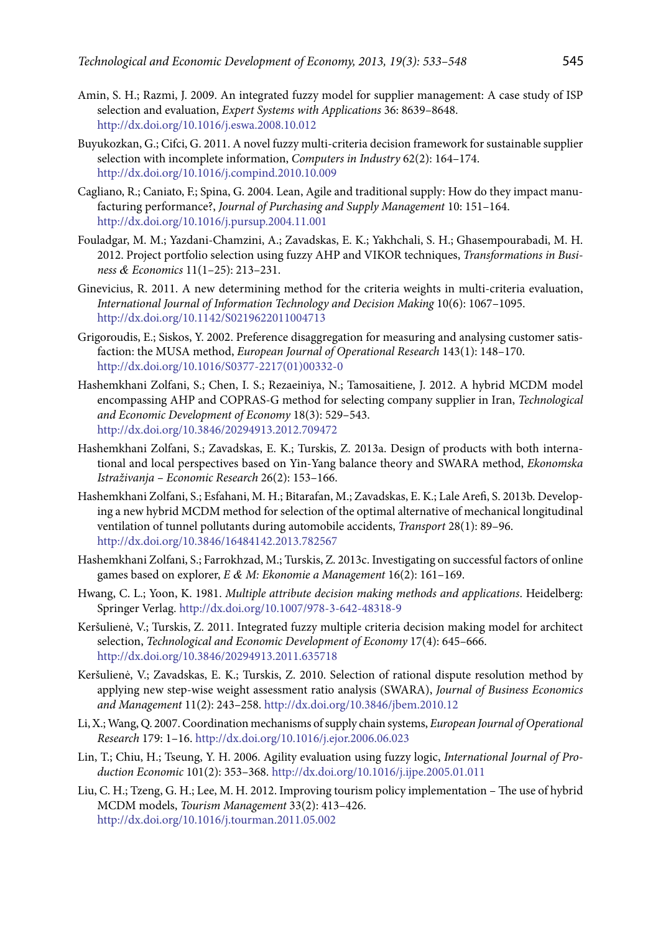- Amin, S. H.; Razmi, J. 2009. An integrated fuzzy model for supplier management: A case study of ISP selection and evaluation, *Expert Systems with Applications* 36: 8639–8648. <http://dx.doi.org/10.1016/j.eswa.2008.10.012>
- Buyukozkan, G.; Cifci, G. 2011. A novel fuzzy multi-criteria decision framework for sustainable supplier selection with incomplete information, *Computers in Industry* 62(2): 164–174. <http://dx.doi.org/10.1016/j.compind.2010.10.009>
- Cagliano, R.; Caniato, F.; Spina, G. 2004. Lean, Agile and traditional supply: How do they impact manufacturing performance?, *Journal of Purchasing and Supply Management* 10: 151–164. <http://dx.doi.org/10.1016/j.pursup.2004.11.001>
- Fouladgar, M. M.; Yazdani-Chamzini, A.; Zavadskas, E. K.; Yakhchali, S. H.; Ghasempourabadi, M. H. 2012. Project portfolio selection using fuzzy AHP and VIKOR techniques, *Transformations in Business & Economics* 11(1–25): 213–231.
- Ginevicius, R. 2011. A new determining method for the criteria weights in multi-criteria evaluation, *International Journal of Information Technology and Decision Making* 10(6): 1067–1095. <http://dx.doi.org/10.1142/S0219622011004713>
- Grigoroudis, E.; Siskos, Y. 2002. Preference disaggregation for measuring and analysing customer satisfaction: the MUSA method, *European Journal of Operational Research* 143(1): 148–170. [http://dx.doi.org/10.1016/S0377-2217\(01\)00332-0](http://dx.doi.org/10.1016/S0377-2217(01)00332-0)
- Hashemkhani Zolfani, S.; Chen, I. S.; Rezaeiniya, N.; Tamosaitiene, J. 2012. A hybrid MCDM model encompassing AHP and COPRAS-G method for selecting company supplier in Iran, *Technological and Economic Development of Economy* 18(3): 529–543. <http://dx.doi.org/10.3846/20294913.2012.709472>
- Hashemkhani Zolfani, S.; Zavadskas, E. K.; Turskis, Z. 2013a. Design of products with both international and local perspectives based on Yin-Yang balance theory and SWARA method, *Ekonomska Istraživanja – Economic Research* 26(2): 153–166.
- Hashemkhani Zolfani, S.; Esfahani, M. H.; Bitarafan, M.; Zavadskas, E. K.; Lale Arefi, S. 2013b. Developing a new hybrid MCDM method for selection of the optimal alternative of mechanical longitudinal ventilation of tunnel pollutants during automobile accidents, *Transport* 28(1): 89–96. <http://dx.doi.org/10.3846/16484142.2013.782567>
- Hashemkhani Zolfani, S.; Farrokhzad, M.; Turskis, Z. 2013c. Investigating on successful factors of online games based on explorer, *E & M: Ekonomie a Management* 16(2): 161–169.
- Hwang, C. L.; Yoon, K. 1981. *Multiple attribute decision making methods and applications*. Heidelberg: Springer Verlag. <http://dx.doi.org/10.1007/978-3-642-48318-9>
- Keršulienė, V.; Turskis, Z. 2011. Integrated fuzzy multiple criteria decision making model for architect selection, *Technological and Economic Development of Economy* 17(4): 645–666. <http://dx.doi.org/10.3846/20294913.2011.635718>
- Keršulienė, V.; Zavadskas, E. K.; Turskis, Z. 2010. Selection of rational dispute resolution method by applying new step‐wise weight assessment ratio analysis (SWARA), *Journal of Business Economics and Management* 11(2): 243–258. <http://dx.doi.org/10.3846/jbem.2010.12>
- Li, X.; Wang, Q. 2007. Coordination mechanisms of supply chain systems, *European Journal of Operational Research* 179: 1–16. <http://dx.doi.org/10.1016/j.ejor.2006.06.023>
- Lin, T.; Chiu, H.; Tseung, Y. H. 2006. Agility evaluation using fuzzy logic, *International Journal of Production Economic* 101(2): 353–368.<http://dx.doi.org/10.1016/j.ijpe.2005.01.011>
- Liu, C. H.; Tzeng, G. H.; Lee, M. H. 2012. Improving tourism policy implementation The use of hybrid MCDM models, *Tourism Management* 33(2): 413–426. <http://dx.doi.org/10.1016/j.tourman.2011.05.002>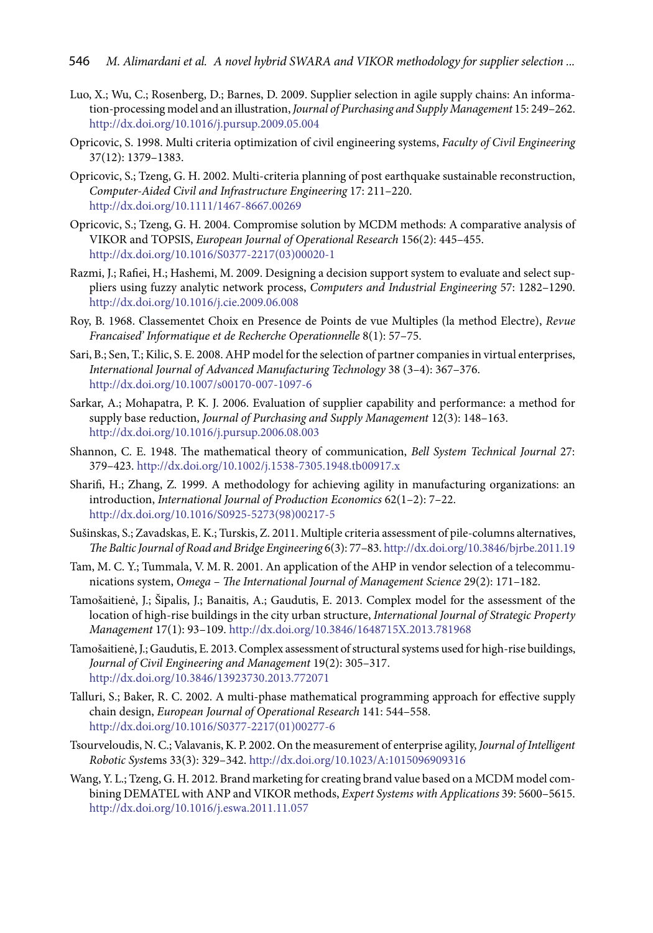- Luo, X.; Wu, C.; Rosenberg, D.; Barnes, D. 2009. Supplier selection in agile supply chains: An information-processing model and an illustration, *Journal of Purchasing and Supply Management* 15: 249–262. <http://dx.doi.org/10.1016/j.pursup.2009.05.004>
- Opricovic, S. 1998. Multi criteria optimization of civil engineering systems, *Faculty of Civil Engineering* 37(12): 1379–1383.
- Opricovic, S.; Tzeng, G. H. 2002. Multi-criteria planning of post earthquake sustainable reconstruction, *Computer-Aided Civil and Infrastructure Engineering* 17: 211–220. <http://dx.doi.org/10.1111/1467-8667.00269>
- Opricovic, S.; Tzeng, G. H. 2004. Compromise solution by MCDM methods: A comparative analysis of VIKOR and TOPSIS, *European Journal of Operational Research* 156(2): 445–455. [http://dx.doi.org/10.1016/S0377-2217\(03\)00020-1](http://dx.doi.org/10.1016/S0377-2217(03)00020-1)
- Razmi, J.; Rafiei, H.; Hashemi, M. 2009. Designing a decision support system to evaluate and select suppliers using fuzzy analytic network process, *Computers and Industrial Engineering* 57: 1282–1290. <http://dx.doi.org/10.1016/j.cie.2009.06.008>
- Roy, B. 1968. Classementet Choix en Presence de Points de vue Multiples (la method Electre), *Revue Francaised' Informatique et de Recherche Operationnelle* 8(1): 57–75.
- Sari, B.; Sen, T.; Kilic, S. E. 2008. AHP model for the selection of partner companies in virtual enterprises, *International Journal of Advanced Manufacturing Technology* 38 (3–4): 367–376. <http://dx.doi.org/10.1007/s00170-007-1097-6>
- Sarkar, A.; Mohapatra, P. K. J. 2006. Evaluation of supplier capability and performance: a method for supply base reduction, *Journal of Purchasing and Supply Management* 12(3): 148–163. <http://dx.doi.org/10.1016/j.pursup.2006.08.003>
- Shannon, C. E. 1948. The mathematical theory of communication, *Bell System Technical Journal* 27: 379–423. <http://dx.doi.org/10.1002/j.1538-7305.1948.tb00917.x>
- Sharifi, H.; Zhang, Z. 1999. A methodology for achieving agility in manufacturing organizations: an introduction, *International Journal of Production Economics* 62(1–2): 7–22. [http://dx.doi.org/10.1016/S0925-5273\(98\)00217-5](http://dx.doi.org/10.1016/S0925-5273(98)00217-5)
- Sušinskas, S.; Zavadskas, E. K.; Turskis, Z. 2011. Multiple criteria assessment of pile-columns alternatives, *The Baltic Journal of Road and Bridge Engineering* 6(3): 77–83.<http://dx.doi.org/10.3846/bjrbe.2011.19>
- Tam, M. C. Y.; Tummala, V. M. R. 2001. An application of the AHP in vendor selection of a telecommunications system, *Omega – The International Journal of Management Science* 29(2): 171–182.
- Tamošaitienė, J.; Šipalis, J.; Banaitis, A.; Gaudutis, E. 2013. Complex model for the assessment of the location of high-rise buildings in the city urban structure, *International Journal of Strategic Property Management* 17(1): 93–109.<http://dx.doi.org/10.3846/1648715X.2013.781968>
- Tamošaitienė, J.; Gaudutis, E. 2013. Complex assessment of structural systems used for high-rise buildings, *Journal of Civil Engineering and Management* 19(2): 305–317. <http://dx.doi.org/10.3846/13923730.2013.772071>
- Talluri, S.; Baker, R. C. 2002. A multi-phase mathematical programming approach for effective supply chain design, *European Journal of Operational Research* 141: 544–558. [http://dx.doi.org/10.1016/S0377-2217\(01\)00277-6](http://dx.doi.org/10.1016/S0377-2217(01)00277-6)
- Tsourveloudis, N. C.; Valavanis, K. P. 2002. On the measurement of enterprise agility, *Journal of Intelligent Robotic Syst*ems 33(3): 329–342. <http://dx.doi.org/10.1023/A:1015096909316>
- Wang, Y. L.; Tzeng, G. H. 2012. Brand marketing for creating brand value based on a MCDM model combining DEMATEL with ANP and VIKOR methods, *Expert Systems with Applications* 39: 5600–5615. <http://dx.doi.org/10.1016/j.eswa.2011.11.057>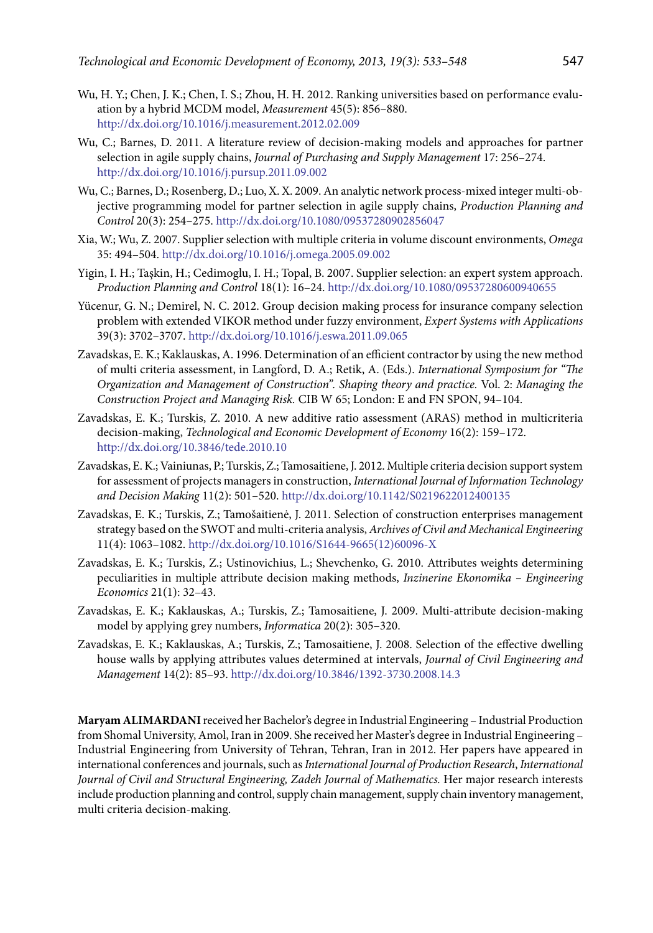- 
- Wu, H. Y.; Chen, J. K.; Chen, I. S.; Zhou, H. H. 2012. Ranking universities based on performance evaluation by a hybrid MCDM model, *Measurement* 45(5): 856–880. <http://dx.doi.org/10.1016/j.measurement.2012.02.009>
- Wu, C.; Barnes, D. 2011. A literature review of decision-making models and approaches for partner selection in agile supply chains, *Journal of Purchasing and Supply Management* 17: 256–274. <http://dx.doi.org/10.1016/j.pursup.2011.09.002>
- Wu, C.; Barnes, D.; Rosenberg, D.; Luo, X. X. 2009. An analytic network process-mixed integer multi-objective programming model for partner selection in agile supply chains, *Production Planning and Control* 20(3): 254–275. <http://dx.doi.org/10.1080/09537280902856047>
- Xia, W.; Wu, Z. 2007. Supplier selection with multiple criteria in volume discount environments, *Omega* 35: 494–504. http://dx.doi.org/10.1016/j.omega.2005.09.002
- Yigin, I. H.; Taşkin, H.; Cedimoglu, I. H.; Topal, B. 2007. Supplier selection: an expert system approach. *Production Planning and Control* 18(1): 16–24.<http://dx.doi.org/10.1080/09537280600940655>
- Yücenur, G. N.; Demirel, N. C. 2012. Group decision making process for insurance company selection problem with extended VIKOR method under fuzzy environment, *Expert Systems with Applications* 39(3): 3702–3707.<http://dx.doi.org/10.1016/j.eswa.2011.09.065>
- Zavadskas, E. K.; Kaklauskas, A. 1996. Determination of an efficient contractor by using the new method of multi criteria assessment, in Langford, D. A.; Retik, A. (Eds.). *International Symposium for "The Organization and Management of Construction". Shaping theory and practice.* Vol. 2: *Managing the Construction Project and Managing Risk.* CIB W 65; London: E and FN SPON, 94–104.
- Zavadskas, E. K.; Turskis, Z. 2010. A new additive ratio assessment (ARAS) method in multicriteria decision-making, *Technological and Economic Development of Economy* 16(2): 159–172. <http://dx.doi.org/10.3846/tede.2010.10>
- Zavadskas, E. K.; Vainiunas, P.; Turskis, Z.; Tamosaitiene, J. 2012. Multiple criteria decision support system for assessment of projects managers in construction, *International Journal of Information Technology and Decision Making* 11(2): 501–520. <http://dx.doi.org/10.1142/S0219622012400135>
- Zavadskas, E. K.; Turskis, Z.; Tamošaitienė, J. 2011. Selection of construction enterprises management strategy based on the SWOT and multi-criteria analysis, *Archives of Civil and Mechanical Engineering* 11(4): 1063–1082. [http://dx.doi.org/10.1016/S1644-9665\(12\)60096-X](http://dx.doi.org/10.1016/S1644-9665(12)60096-X)
- Zavadskas, E. K.; Turskis, Z.; Ustinovichius, L.; Shevchenko, G. 2010. Attributes weights determining peculiarities in multiple attribute decision making methods, *Inzinerine Ekonomika – Engineering Economics* 21(1): 32–43.
- Zavadskas, E. K.; Kaklauskas, A.; Turskis, Z.; Tamosaitiene, J. 2009. Multi-attribute decision-making model by applying grey numbers, *Informatica* 20(2): 305–320.
- Zavadskas, E. K.; Kaklauskas, A.; Turskis, Z.; Tamosaitiene, J. 2008. Selection of the effective dwelling house walls by applying attributes values determined at intervals, *Journal of Civil Engineering and Management* 14(2): 85–93.<http://dx.doi.org/10.3846/1392-3730.2008.14.3>

**Maryam ALIMARDANI** received her Bachelor's degree in Industrial Engineering – Industrial Production from Shomal University, Amol, Iran in 2009. She received her Master's degree in Industrial Engineering – Industrial Engineering from University of Tehran, Tehran, Iran in 2012. Her papers have appeared in international conferences and journals, such as *International Journal of Production Research*, *International Journal of Civil and Structural Engineering, Zadeh Journal of Mathematics.* Her major research interests include production planning and control, supply chain management, supply chain inventory management, multi criteria decision-making.